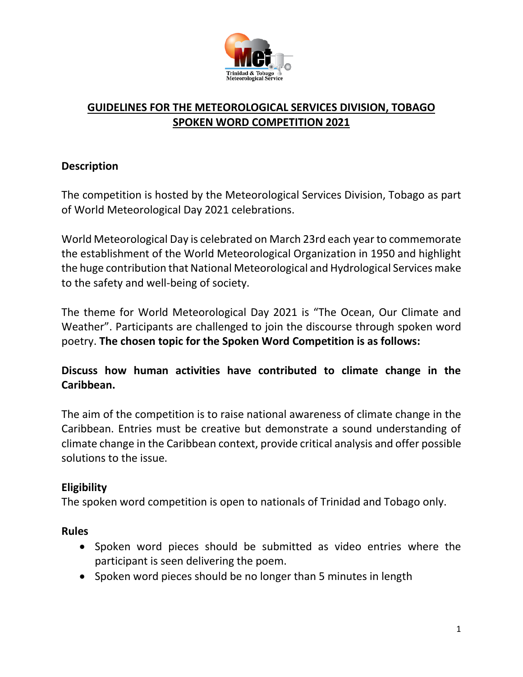

# **GUIDELINES FOR THE METEOROLOGICAL SERVICES DIVISION, TOBAGO SPOKEN WORD COMPETITION 2021**

## **Description**

The competition is hosted by the Meteorological Services Division, Tobago as part of World Meteorological Day 2021 celebrations.

World Meteorological Day is celebrated on March 23rd each year to commemorate the establishment of the World Meteorological Organization in 1950 and highlight the huge contribution that National Meteorological and Hydrological Services make to the safety and well-being of society.

The theme for World Meteorological Day 2021 is "The Ocean, Our Climate and Weather". Participants are challenged to join the discourse through spoken word poetry. **The chosen topic for the Spoken Word Competition is as follows:**

# **Discuss how human activities have contributed to climate change in the Caribbean.**

The aim of the competition is to raise national awareness of climate change in the Caribbean. Entries must be creative but demonstrate a sound understanding of climate change in the Caribbean context, provide critical analysis and offer possible solutions to the issue.

## **Eligibility**

The spoken word competition is open to nationals of Trinidad and Tobago only.

## **Rules**

- Spoken word pieces should be submitted as video entries where the participant is seen delivering the poem.
- Spoken word pieces should be no longer than 5 minutes in length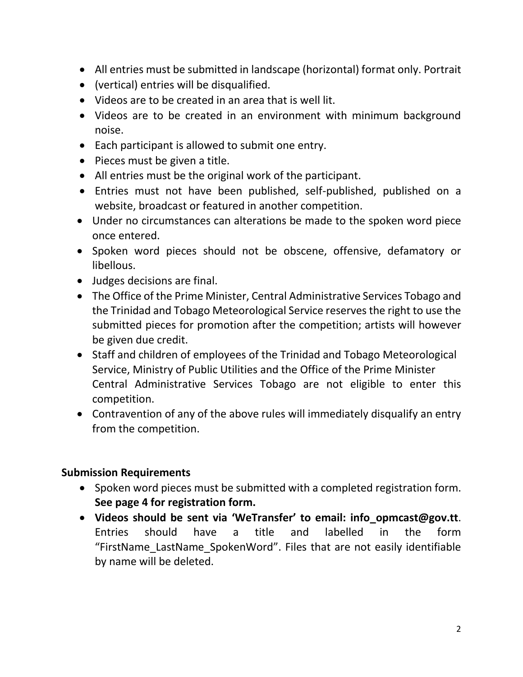- All entries must be submitted in landscape (horizontal) format only. Portrait
- (vertical) entries will be disqualified.
- Videos are to be created in an area that is well lit.
- Videos are to be created in an environment with minimum background noise.
- Each participant is allowed to submit one entry.
- $\bullet$  Pieces must be given a title.
- All entries must be the original work of the participant.
- Entries must not have been published, self-published, published on a website, broadcast or featured in another competition.
- Under no circumstances can alterations be made to the spoken word piece once entered.
- Spoken word pieces should not be obscene, offensive, defamatory or libellous.
- Judges decisions are final.
- The Office of the Prime Minister, Central Administrative Services Tobago and the Trinidad and Tobago Meteorological Service reserves the right to use the submitted pieces for promotion after the competition; artists will however be given due credit.
- Staff and children of employees of the Trinidad and Tobago Meteorological Service, Ministry of Public Utilities and the Office of the Prime Minister Central Administrative Services Tobago are not eligible to enter this competition.
- Contravention of any of the above rules will immediately disqualify an entry from the competition.

## **Submission Requirements**

- Spoken word pieces must be submitted with a completed registration form. **See page 4 for registration form.**
- **Videos should be sent via 'WeTransfer' to email: [info\\_opmcast@gov.tt](mailto:info_opmcast@gov.tt)**. Entries should have a title and labelled in the form "FirstName\_LastName\_SpokenWord". Files that are not easily identifiable by name will be deleted.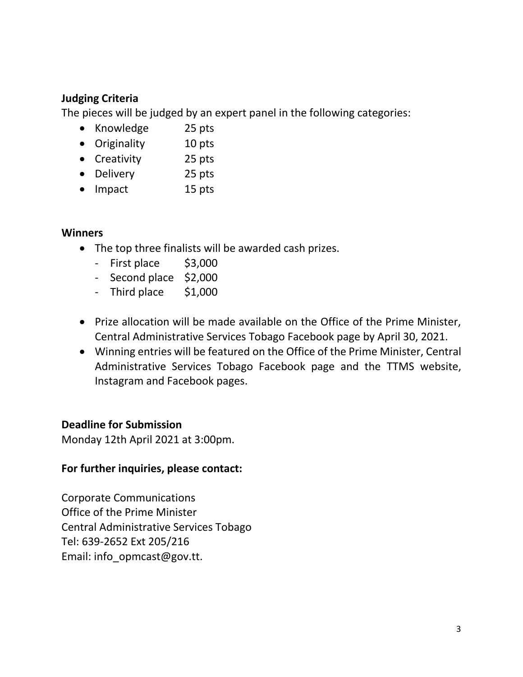## **Judging Criteria**

The pieces will be judged by an expert panel in the following categories:

- Knowledge 25 pts
- Originality 10 pts
- Creativity 25 pts
- Delivery 25 pts
- Impact 15 pts

#### **Winners**

- The top three finalists will be awarded cash prizes.
	- First place \$3,000
	- Second place \$2,000
	- Third place \$1,000
- Prize allocation will be made available on the Office of the Prime Minister, Central Administrative Services Tobago Facebook page by April 30, 2021.
- Winning entries will be featured on the Office of the Prime Minister, Central Administrative Services Tobago Facebook page and the TTMS website, Instagram and Facebook pages.

## **Deadline for Submission**

Monday 12th April 2021 at 3:00pm.

## **For further inquiries, please contact:**

Corporate Communications Office of the Prime Minister Central Administrative Services Tobago Tel: 639-2652 Ext 205/216 Email: info\_opmcast@gov.tt.